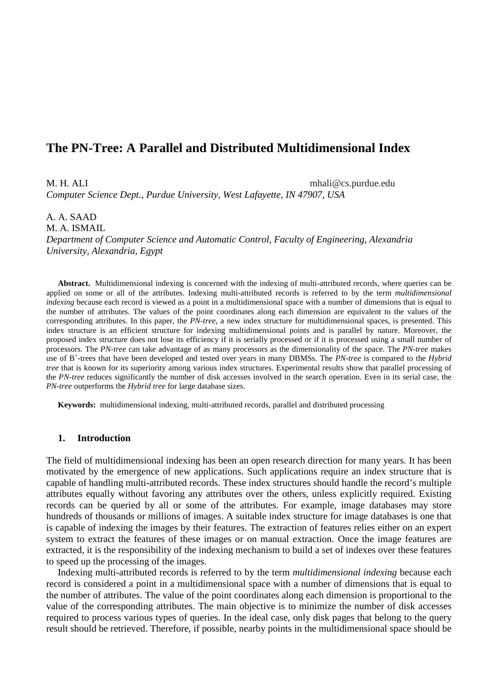# **The PN-Tree: A Parallel and Distributed Multidimensional Index**

M. H. ALI mhali@cs.purdue.edu *Computer Science Dept., Purdue University, West Lafayette, IN 47907, USA* 

# A. A. SAAD

M. A. ISMAIL

*Department of Computer Science and Automatic Control, Faculty of Engineering, Alexandria University, Alexandria, Egypt* 

**Abstract.** Multidimensional indexing is concerned with the indexing of multi-attributed records, where queries can be applied on some or all of the attributes. Indexing multi-attributed records is referred to by the term *multidimensional indexing* because each record is viewed as a point in a multidimensional space with a number of dimensions that is equal to the number of attributes. The values of the point coordinates along each dimension are equivalent to the values of the corresponding attributes. In this paper, the *PN-tree*, a new index structure for multidimensional spaces, is presented. This index structure is an efficient structure for indexing multidimensional points and is parallel by nature. Moreover, the proposed index structure does not lose its efficiency if it is serially processed or if it is processed using a small number of processors. The *PN-tree* can take advantage of as many processors as the dimensionality of the space. The *PN-tree* makes use of B<sup>+</sup> -trees that have been developed and tested over years in many DBMSs. The *PN-tree* is compared to the *Hybrid tree* that is known for its superiority among various index structures. Experimental results show that parallel processing of the *PN-tree* reduces significantly the number of disk accesses involved in the search operation. Even in its serial case, the *PN-tree* outperforms the *Hybrid tree* for large database sizes.

**Keywords:** multidimensional indexing, multi-attributed records, parallel and distributed processing

# **1. Introduction**

The field of multidimensional indexing has been an open research direction for many years. It has been motivated by the emergence of new applications. Such applications require an index structure that is capable of handling multi-attributed records. These index structures should handle the record's multiple attributes equally without favoring any attributes over the others, unless explicitly required. Existing records can be queried by all or some of the attributes. For example, image databases may store hundreds of thousands or millions of images. A suitable index structure for image databases is one that is capable of indexing the images by their features. The extraction of features relies either on an expert system to extract the features of these images or on manual extraction. Once the image features are extracted, it is the responsibility of the indexing mechanism to build a set of indexes over these features to speed up the processing of the images.

Indexing multi-attributed records is referred to by the term *multidimensional indexing* because each record is considered a point in a multidimensional space with a number of dimensions that is equal to the number of attributes. The value of the point coordinates along each dimension is proportional to the value of the corresponding attributes. The main objective is to minimize the number of disk accesses required to process various types of queries. In the ideal case, only disk pages that belong to the query result should be retrieved. Therefore, if possible, nearby points in the multidimensional space should be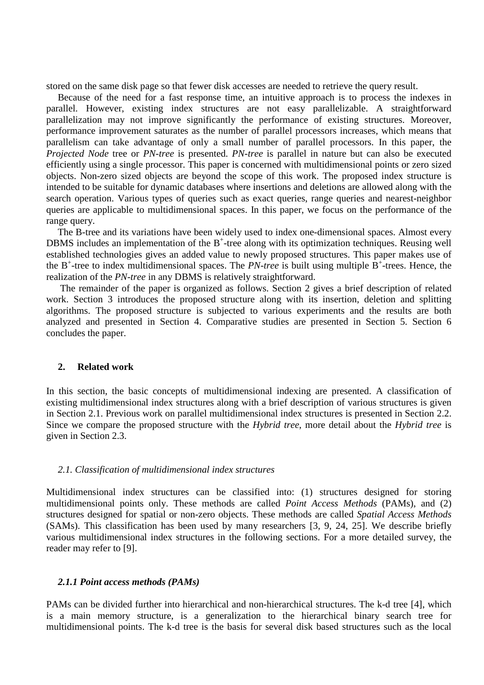stored on the same disk page so that fewer disk accesses are needed to retrieve the query result.

Because of the need for a fast response time, an intuitive approach is to process the indexes in parallel. However, existing index structures are not easy parallelizable. A straightforward parallelization may not improve significantly the performance of existing structures. Moreover, performance improvement saturates as the number of parallel processors increases, which means that parallelism can take advantage of only a small number of parallel processors. In this paper, the *Projected Node* tree or *PN-tree* is presented. *PN-tree* is parallel in nature but can also be executed efficiently using a single processor. This paper is concerned with multidimensional points or zero sized objects. Non-zero sized objects are beyond the scope of this work. The proposed index structure is intended to be suitable for dynamic databases where insertions and deletions are allowed along with the search operation. Various types of queries such as exact queries, range queries and nearest-neighbor queries are applicable to multidimensional spaces. In this paper, we focus on the performance of the range query.

The B-tree and its variations have been widely used to index one-dimensional spaces. Almost every DBMS includes an implementation of the B<sup>+</sup>-tree along with its optimization techniques. Reusing well established technologies gives an added value to newly proposed structures. This paper makes use of the  $B^+$ -tree to index multidimensional spaces. The *PN-tree* is built using multiple  $B^+$ -trees. Hence, the realization of the *PN-tree* in any DBMS is relatively straightforward.

 The remainder of the paper is organized as follows. Section 2 gives a brief description of related work. Section 3 introduces the proposed structure along with its insertion, deletion and splitting algorithms. The proposed structure is subjected to various experiments and the results are both analyzed and presented in Section 4. Comparative studies are presented in Section 5. Section 6 concludes the paper.

#### **2. Related work**

In this section, the basic concepts of multidimensional indexing are presented. A classification of existing multidimensional index structures along with a brief description of various structures is given in Section 2.1. Previous work on parallel multidimensional index structures is presented in Section 2.2. Since we compare the proposed structure with the *Hybrid tree*, more detail about the *Hybrid tree* is given in Section 2.3.

### *2.1. Classification of multidimensional index structures*

Multidimensional index structures can be classified into: (1) structures designed for storing multidimensional points only. These methods are called *Point Access Methods* (PAMs), and (2) structures designed for spatial or non-zero objects. These methods are called *Spatial Access Methods* (SAMs). This classification has been used by many researchers [3, 9, 24, 25]. We describe briefly various multidimensional index structures in the following sections. For a more detailed survey, the reader may refer to [9].

# *2.1.1 Point access methods (PAMs)*

PAMs can be divided further into hierarchical and non-hierarchical structures. The k-d tree [4], which is a main memory structure, is a generalization to the hierarchical binary search tree for multidimensional points. The k-d tree is the basis for several disk based structures such as the local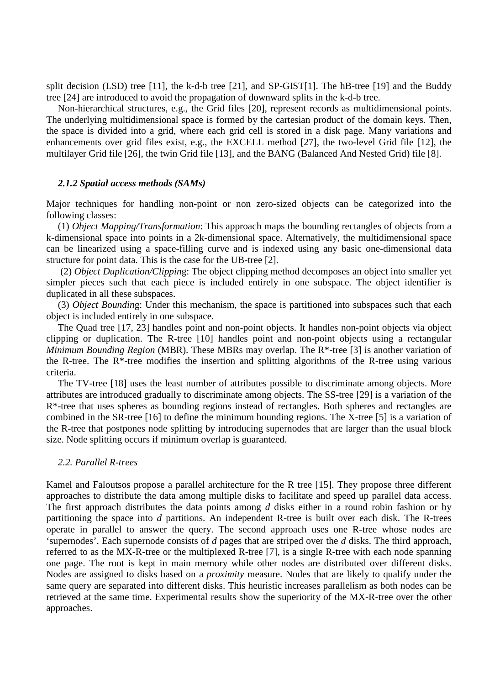split decision (LSD) tree [11], the k-d-b tree [21], and SP-GIST[1]. The hB-tree [19] and the Buddy tree [24] are introduced to avoid the propagation of downward splits in the k-d-b tree.

Non-hierarchical structures, e.g., the Grid files [20], represent records as multidimensional points. The underlying multidimensional space is formed by the cartesian product of the domain keys. Then, the space is divided into a grid, where each grid cell is stored in a disk page. Many variations and enhancements over grid files exist, e.g., the EXCELL method [27], the two-level Grid file [12], the multilayer Grid file [26], the twin Grid file [13], and the BANG (Balanced And Nested Grid) file [8].

### *2.1.2 Spatial access methods (SAMs)*

Major techniques for handling non-point or non zero-sized objects can be categorized into the following classes:

(1) *Object Mapping/Transformation*: This approach maps the bounding rectangles of objects from a k-dimensional space into points in a 2k-dimensional space. Alternatively, the multidimensional space can be linearized using a space-filling curve and is indexed using any basic one-dimensional data structure for point data. This is the case for the UB-tree [2].

 (2) *Object Duplication/Clippin*g: The object clipping method decomposes an object into smaller yet simpler pieces such that each piece is included entirely in one subspace. The object identifier is duplicated in all these subspaces.

(3) *Object Boundin*g: Under this mechanism, the space is partitioned into subspaces such that each object is included entirely in one subspace.

The Quad tree [17, 23] handles point and non-point objects. It handles non-point objects via object clipping or duplication. The R-tree [10] handles point and non-point objects using a rectangular *Minimum Bounding Region* (MBR). These MBRs may overlap. The R<sup>\*</sup>-tree [3] is another variation of the R-tree. The  $R^*$ -tree modifies the insertion and splitting algorithms of the R-tree using various criteria.

The TV-tree [18] uses the least number of attributes possible to discriminate among objects. More attributes are introduced gradually to discriminate among objects. The SS-tree [29] is a variation of the R\*-tree that uses spheres as bounding regions instead of rectangles. Both spheres and rectangles are combined in the SR-tree [16] to define the minimum bounding regions. The X-tree [5] is a variation of the R-tree that postpones node splitting by introducing supernodes that are larger than the usual block size. Node splitting occurs if minimum overlap is guaranteed.

# *2.2. Parallel R-trees*

Kamel and Faloutsos propose a parallel architecture for the R tree [15]. They propose three different approaches to distribute the data among multiple disks to facilitate and speed up parallel data access. The first approach distributes the data points among *d* disks either in a round robin fashion or by partitioning the space into *d* partitions. An independent R-tree is built over each disk. The R-trees operate in parallel to answer the query. The second approach uses one R-tree whose nodes are 'supernodes'. Each supernode consists of *d* pages that are striped over the *d* disks. The third approach, referred to as the MX-R-tree or the multiplexed R-tree [7], is a single R-tree with each node spanning one page. The root is kept in main memory while other nodes are distributed over different disks. Nodes are assigned to disks based on a *proximity* measure. Nodes that are likely to qualify under the same query are separated into different disks. This heuristic increases parallelism as both nodes can be retrieved at the same time. Experimental results show the superiority of the MX-R-tree over the other approaches.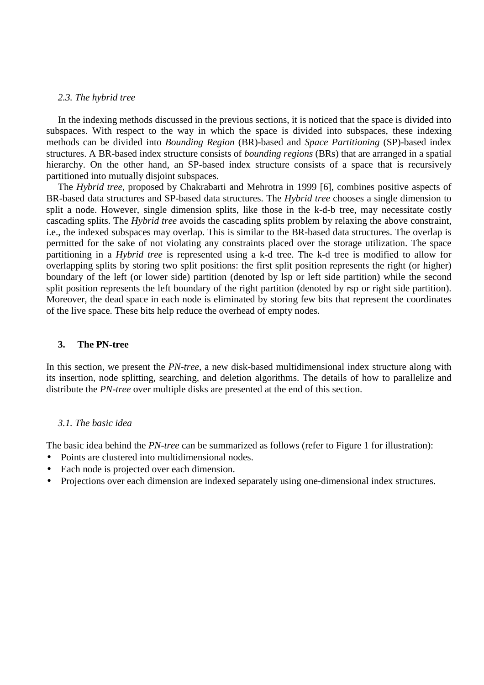### *2.3. The hybrid tree*

In the indexing methods discussed in the previous sections, it is noticed that the space is divided into subspaces. With respect to the way in which the space is divided into subspaces, these indexing methods can be divided into *Bounding Region* (BR)-based and *Space Partitioning* (SP)-based index structures. A BR-based index structure consists of *bounding regions* (BRs) that are arranged in a spatial hierarchy. On the other hand, an SP-based index structure consists of a space that is recursively partitioned into mutually disjoint subspaces.

The *Hybrid tree*, proposed by Chakrabarti and Mehrotra in 1999 [6], combines positive aspects of BR-based data structures and SP-based data structures. The *Hybrid tree* chooses a single dimension to split a node. However, single dimension splits, like those in the k-d-b tree, may necessitate costly cascading splits. The *Hybrid tree* avoids the cascading splits problem by relaxing the above constraint, i.e., the indexed subspaces may overlap. This is similar to the BR-based data structures. The overlap is permitted for the sake of not violating any constraints placed over the storage utilization. The space partitioning in a *Hybrid tree* is represented using a k-d tree. The k-d tree is modified to allow for overlapping splits by storing two split positions: the first split position represents the right (or higher) boundary of the left (or lower side) partition (denoted by lsp or left side partition) while the second split position represents the left boundary of the right partition (denoted by rsp or right side partition). Moreover, the dead space in each node is eliminated by storing few bits that represent the coordinates of the live space. These bits help reduce the overhead of empty nodes.

# **3. The PN-tree**

In this section, we present the *PN-tree*, a new disk-based multidimensional index structure along with its insertion, node splitting, searching, and deletion algorithms. The details of how to parallelize and distribute the *PN-tree* over multiple disks are presented at the end of this section.

# *3.1. The basic idea*

The basic idea behind the *PN-tree* can be summarized as follows (refer to Figure 1 for illustration):

- Points are clustered into multidimensional nodes.
- Each node is projected over each dimension.
- Projections over each dimension are indexed separately using one-dimensional index structures.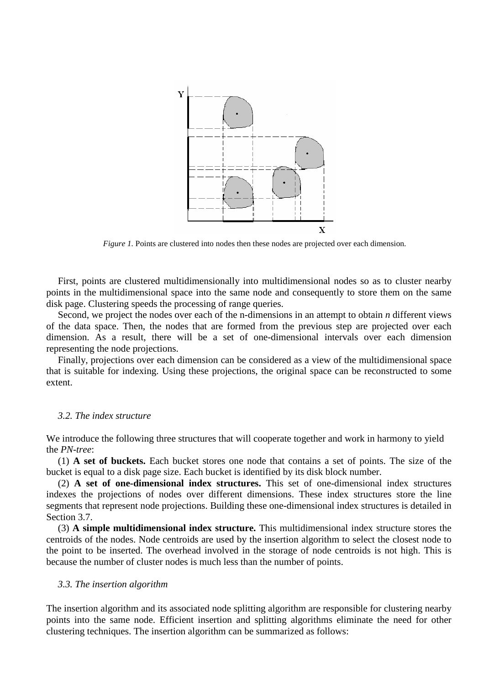

*Figure 1.* Points are clustered into nodes then these nodes are projected over each dimension.

First, points are clustered multidimensionally into multidimensional nodes so as to cluster nearby points in the multidimensional space into the same node and consequently to store them on the same disk page. Clustering speeds the processing of range queries.

Second, we project the nodes over each of the n-dimensions in an attempt to obtain *n* different views of the data space. Then, the nodes that are formed from the previous step are projected over each dimension. As a result, there will be a set of one-dimensional intervals over each dimension representing the node projections.

Finally, projections over each dimension can be considered as a view of the multidimensional space that is suitable for indexing. Using these projections, the original space can be reconstructed to some extent.

## *3.2. The index structure*

We introduce the following three structures that will cooperate together and work in harmony to yield the *PN-tree*:

(1) **A set of buckets.** Each bucket stores one node that contains a set of points. The size of the bucket is equal to a disk page size. Each bucket is identified by its disk block number.

(2) **A set of one-dimensional index structures.** This set of one-dimensional index structures indexes the projections of nodes over different dimensions. These index structures store the line segments that represent node projections. Building these one-dimensional index structures is detailed in Section 3.7.

(3) **A simple multidimensional index structure.** This multidimensional index structure stores the centroids of the nodes. Node centroids are used by the insertion algorithm to select the closest node to the point to be inserted. The overhead involved in the storage of node centroids is not high. This is because the number of cluster nodes is much less than the number of points.

# *3.3. The insertion algorithm*

The insertion algorithm and its associated node splitting algorithm are responsible for clustering nearby points into the same node. Efficient insertion and splitting algorithms eliminate the need for other clustering techniques. The insertion algorithm can be summarized as follows: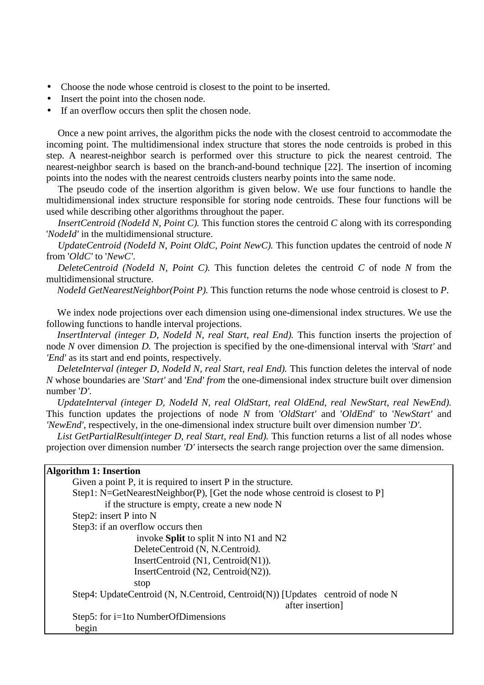- Choose the node whose centroid is closest to the point to be inserted.
- Insert the point into the chosen node.
- If an overflow occurs then split the chosen node.

Once a new point arrives, the algorithm picks the node with the closest centroid to accommodate the incoming point. The multidimensional index structure that stores the node centroids is probed in this step. A nearest-neighbor search is performed over this structure to pick the nearest centroid. The nearest-neighbor search is based on the branch-and-bound technique [22]. The insertion of incoming points into the nodes with the nearest centroids clusters nearby points into the same node.

The pseudo code of the insertion algorithm is given below. We use four functions to handle the multidimensional index structure responsible for storing node centroids. These four functions will be used while describing other algorithms throughout the paper.

*InsertCentroid (NodeId N, Point C).* This function stores the centroid *C* along with its corresponding '*NodeId'* in the multidimensional structure.

*UpdateCentroid (NodeId N, Point OldC, Point NewC).* This function updates the centroid of node *N* from '*OldC'* to '*NewC'*.

*DeleteCentroid (NodeId N, Point C).* This function deletes the centroid *C* of node *N* from the multidimensional structure.

*NodeId GetNearestNeighbor(Point P).* This function returns the node whose centroid is closest to *P*.

We index node projections over each dimension using one-dimensional index structures. We use the following functions to handle interval projections.

*InsertInterval (integer D, NodeId N, real Start, real End).* This function inserts the projection of node *N* over dimension *D.* The projection is specified by the one-dimensional interval with *'Start'* and *'End'* as its start and end points, respectively.

*DeleteInterval (integer D, NodeId N, real Start, real End).* This function deletes the interval of node *N* whose boundaries are '*Start'* and '*End' from* the one-dimensional index structure built over dimension number '*D'.*

*UpdateInterval (integer D, NodeId N, real OldStart, real OldEnd, real NewStart, real NewEnd).*  This function updates the projections of node *N* from '*OldStart'* and '*OldEnd'* to '*NewStart'* and *'NewEnd'*, respectively, in the one-dimensional index structure built over dimension number '*D'.*

List GetPartialResult(integer D, real Start, real End). This function returns a list of all nodes whose projection over dimension number *'D'* intersects the search range projection over the same dimension.

# **Algorithm 1: Insertion**

Given a point P, it is required to insert P in the structure. Step1: N=GetNearestNeighbor(P), [Get the node whose centroid is closest to P] if the structure is empty, create a new node N Step2: insert P into N Step3: if an overflow occurs then invoke **Split** to split N into N1 and N2 DeleteCentroid (N*,* N.Centroid*).* InsertCentroid (N1*,* Centroid(N1))*.* InsertCentroid (N2*,* Centroid(N2))*.* stop Step4: UpdateCentroid (N, N.Centroid, Centroid(N)) [Updates centroid of node N after insertion] Step5: for i=1to NumberOfDimensions begin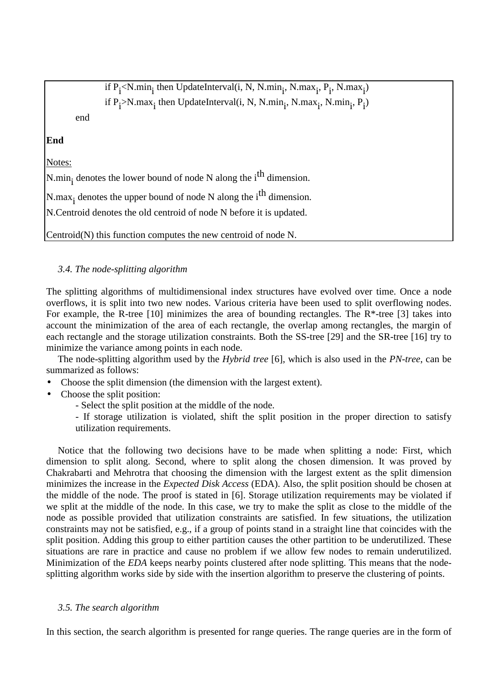if  $P_i$ <N.min<sub>i</sub> then UpdateInterval(i, N, N.min<sub>i</sub>, N.max<sub>i</sub>, P<sub>i</sub>, N.max<sub>i</sub>) if  $P_i$ >N.max<sub>i</sub> then UpdateInterval(i, N, N.min<sub>i</sub>, N.max<sub>i</sub>, N.min<sub>i</sub>, P<sub>i</sub>)

end

**End** 

Notes:

N.min<sub>i</sub> denotes the lower bound of node N along the i<sup>th</sup> dimension.

N.max<sub>i</sub> denotes the upper bound of node N along the i<sup>th</sup> dimension.

N.Centroid denotes the old centroid of node N before it is updated.

Centroid(N) this function computes the new centroid of node N.

# *3.4. The node-splitting algorithm*

The splitting algorithms of multidimensional index structures have evolved over time. Once a node overflows, it is split into two new nodes. Various criteria have been used to split overflowing nodes. For example, the R-tree  $[10]$  minimizes the area of bounding rectangles. The R<sup>\*</sup>-tree  $[3]$  takes into account the minimization of the area of each rectangle, the overlap among rectangles, the margin of each rectangle and the storage utilization constraints. Both the SS-tree [29] and the SR-tree [16] try to minimize the variance among points in each node.

The node-splitting algorithm used by the *Hybrid tree* [6], which is also used in the *PN-tree*, can be summarized as follows:

- Choose the split dimension (the dimension with the largest extent).
- Choose the split position:
	- Select the split position at the middle of the node.

- If storage utilization is violated, shift the split position in the proper direction to satisfy utilization requirements.

Notice that the following two decisions have to be made when splitting a node: First, which dimension to split along. Second, where to split along the chosen dimension. It was proved by Chakrabarti and Mehrotra that choosing the dimension with the largest extent as the split dimension minimizes the increase in the *Expected Disk Access* (EDA). Also, the split position should be chosen at the middle of the node. The proof is stated in [6]. Storage utilization requirements may be violated if we split at the middle of the node. In this case, we try to make the split as close to the middle of the node as possible provided that utilization constraints are satisfied. In few situations, the utilization constraints may not be satisfied, e.g., if a group of points stand in a straight line that coincides with the split position. Adding this group to either partition causes the other partition to be underutilized. These situations are rare in practice and cause no problem if we allow few nodes to remain underutilized. Minimization of the *EDA* keeps nearby points clustered after node splitting. This means that the nodesplitting algorithm works side by side with the insertion algorithm to preserve the clustering of points.

# *3.5. The search algorithm*

In this section, the search algorithm is presented for range queries. The range queries are in the form of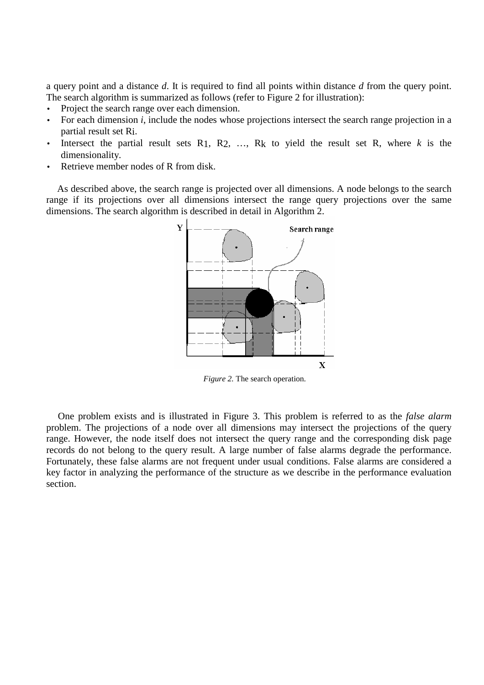a query point and a distance *d*. It is required to find all points within distance *d* from the query point. The search algorithm is summarized as follows (refer to Figure 2 for illustration):

- Project the search range over each dimension.
- For each dimension *i*, include the nodes whose projections intersect the search range projection in a partial result set Ri.
- Intersect the partial result sets  $R_1$ ,  $R_2$ , ...,  $R_k$  to yield the result set  $R$ , where  $k$  is the dimensionality.
- Retrieve member nodes of R from disk.

 As described above, the search range is projected over all dimensions. A node belongs to the search range if its projections over all dimensions intersect the range query projections over the same dimensions. The search algorithm is described in detail in Algorithm 2.



*Figure 2.* The search operation.

One problem exists and is illustrated in Figure 3. This problem is referred to as the *false alarm* problem. The projections of a node over all dimensions may intersect the projections of the query range. However, the node itself does not intersect the query range and the corresponding disk page records do not belong to the query result. A large number of false alarms degrade the performance. Fortunately, these false alarms are not frequent under usual conditions. False alarms are considered a key factor in analyzing the performance of the structure as we describe in the performance evaluation section.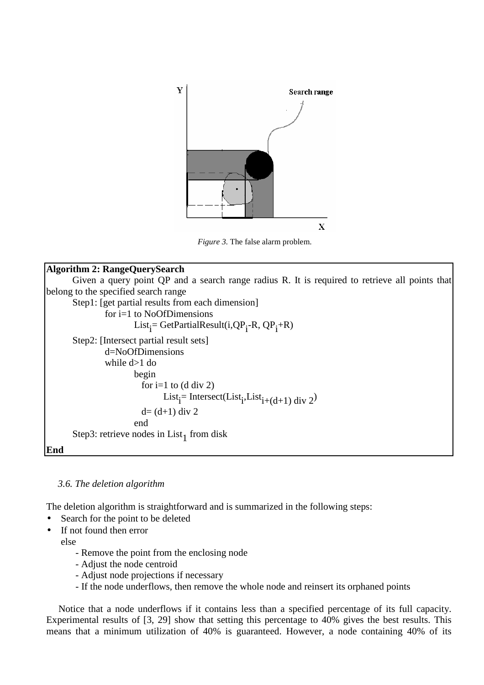

*Figure 3.* The false alarm problem.

# **Algorithm 2: RangeQuerySearch**  Given a query point QP and a search range radius R. It is required to retrieve all points that belong to the specified search range Step1: [get partial results from each dimension] for i=1 to NoOfDimensions  $List_i = GetPartialResult(i, QP_i - R, QP_i + R)$  Step2: [Intersect partial result sets] d=NoOfDimensions while d>1 do begin for  $i=1$  to (d div 2) List<sub>i</sub>= Intersect(List<sub>i</sub>,List<sub>i+(d+1)</sub> div 2<sup>)</sup>  $d= (d+1)$  div 2 end Step3: retrieve nodes in List $_1$  from disk **End**

# *3.6. The deletion algorithm*

The deletion algorithm is straightforward and is summarized in the following steps:

- Search for the point to be deleted
- If not found then error

else

- Remove the point from the enclosing node
- Adjust the node centroid
- Adjust node projections if necessary
- If the node underflows, then remove the whole node and reinsert its orphaned points

 Notice that a node underflows if it contains less than a specified percentage of its full capacity. Experimental results of [3, 29] show that setting this percentage to 40% gives the best results. This means that a minimum utilization of 40% is guaranteed. However, a node containing 40% of its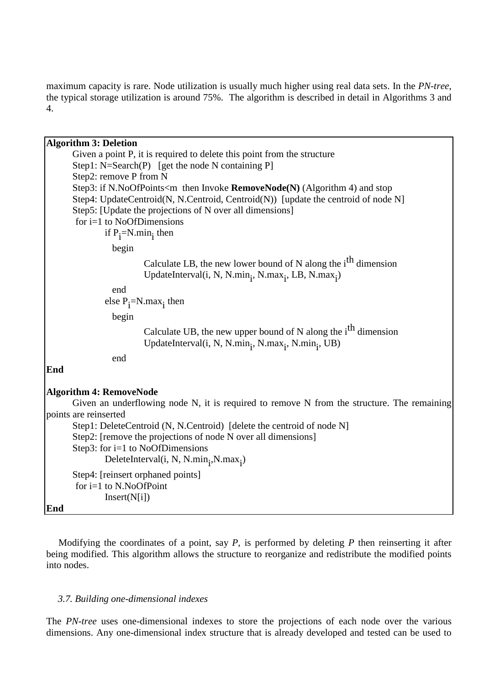maximum capacity is rare. Node utilization is usually much higher using real data sets. In the *PN-tree*, the typical storage utilization is around 75%. The algorithm is described in detail in Algorithms 3 and 4.

| <b>Algorithm 3: Deletion</b>                                                                                                                                          |
|-----------------------------------------------------------------------------------------------------------------------------------------------------------------------|
| Given a point P, it is required to delete this point from the structure                                                                                               |
| Step1: $N = Search(P)$ [get the node N containing P]                                                                                                                  |
| Step2: remove P from N                                                                                                                                                |
| Step3: if N.NoOfPoints <m <math="" invoke="" then="">RemoveNode(N) (Algorithm 4) and stop</m>                                                                         |
| Step4: UpdateCentroid(N, N.Centroid, Centroid(N)) [update the centroid of node N]                                                                                     |
| Step5: [Update the projections of N over all dimensions]                                                                                                              |
| for i=1 to NoOfDimensions                                                                                                                                             |
| if $P_i = N.min_i$ then                                                                                                                                               |
| begin                                                                                                                                                                 |
| Calculate LB, the new lower bound of N along the $ith$ dimension<br>UpdateInterval(i, N, N.min <sub>i</sub> , N.max <sub>i</sub> , LB, N.max <sub>i</sub> )           |
| end                                                                                                                                                                   |
| else $P_i = N.max_i$ then                                                                                                                                             |
| begin                                                                                                                                                                 |
| Calculate UB, the new upper bound of N along the i <sup>th</sup> dimension<br>UpdateInterval(i, N, N.min <sub>j</sub> , N.max <sub>j</sub> , N.min <sub>j</sub> , UB) |
| end                                                                                                                                                                   |
| End                                                                                                                                                                   |
| <b>Algorithm 4: RemoveNode</b>                                                                                                                                        |
| Given an underflowing node N, it is required to remove N from the structure. The remaining                                                                            |
| points are reinserted                                                                                                                                                 |
| Step1: DeleteCentroid (N, N.Centroid) [delete the centroid of node N]                                                                                                 |
| Step2: [remove the projections of node N over all dimensions]                                                                                                         |
| Step3: for $i=1$ to NoOfDimensions                                                                                                                                    |
| DeleteInterval $(i, N, N.min_i, N.max_i)$                                                                                                                             |
| Step4: [reinsert orphaned points]                                                                                                                                     |
| for $i=1$ to N.NoOfPoint                                                                                                                                              |
| Insert(N[i])                                                                                                                                                          |
| End                                                                                                                                                                   |

 Modifying the coordinates of a point, say *P*, is performed by deleting *P* then reinserting it after being modified. This algorithm allows the structure to reorganize and redistribute the modified points into nodes.

# *3.7. Building one-dimensional indexes*

The *PN-tree* uses one-dimensional indexes to store the projections of each node over the various dimensions. Any one-dimensional index structure that is already developed and tested can be used to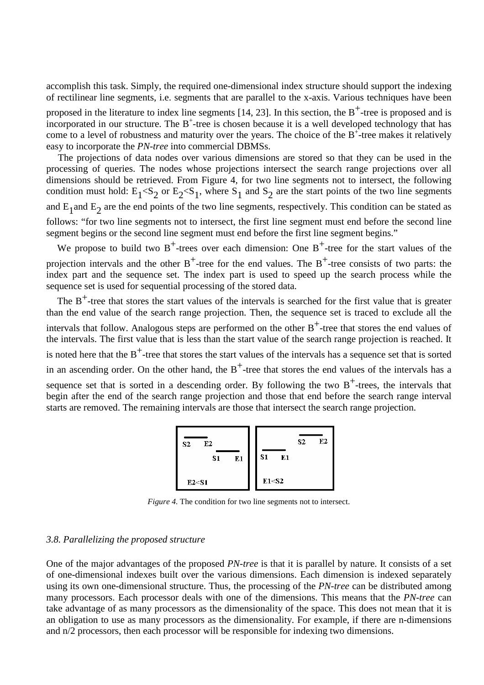accomplish this task. Simply, the required one-dimensional index structure should support the indexing of rectilinear line segments, i.e. segments that are parallel to the x-axis. Various techniques have been

proposed in the literature to index line segments  $[14, 23]$ . In this section, the  $B^+$ -tree is proposed and is incorporated in our structure. The  $B^+$ -tree is chosen because it is a well developed technology that has come to a level of robustness and maturity over the years. The choice of the  $B^{\dagger}$ -tree makes it relatively easy to incorporate the *PN-tree* into commercial DBMSs.

The projections of data nodes over various dimensions are stored so that they can be used in the processing of queries. The nodes whose projections intersect the search range projections over all dimensions should be retrieved. From Figure 4, for two line segments not to intersect, the following condition must hold:  $E_1 < S_2$  or  $E_2 < S_1$ , where  $S_1$  and  $S_2$  are the start points of the two line segments and  $E_1$  and  $E_2$  are the end points of the two line segments, respectively. This condition can be stated as follows: "for two line segments not to intersect, the first line segment must end before the second line segment begins or the second line segment must end before the first line segment begins."

We propose to build two  $B^+$ -trees over each dimension: One  $B^+$ -tree for the start values of the projection intervals and the other  $B^+$ -tree for the end values. The  $B^+$ -tree consists of two parts: the index part and the sequence set. The index part is used to speed up the search process while the sequence set is used for sequential processing of the stored data.

The  $B^+$ -tree that stores the start values of the intervals is searched for the first value that is greater than the end value of the search range projection. Then, the sequence set is traced to exclude all the intervals that follow. Analogous steps are performed on the other  $B^+$ -tree that stores the end values of the intervals. The first value that is less than the start value of the search range projection is reached. It is noted here that the  $B^+$ -tree that stores the start values of the intervals has a sequence set that is sorted in an ascending order. On the other hand, the  $B^+$ -tree that stores the end values of the intervals has a sequence set that is sorted in a descending order. By following the two  $B^+$ -trees, the intervals that begin after the end of the search range projection and those that end before the search range interval starts are removed. The remaining intervals are those that intersect the search range projection.



*Figure 4.* The condition for two line segments not to intersect.

# *3.8. Parallelizing the proposed structure*

One of the major advantages of the proposed *PN-tree* is that it is parallel by nature. It consists of a set of one-dimensional indexes built over the various dimensions. Each dimension is indexed separately using its own one-dimensional structure. Thus, the processing of the *PN-tree* can be distributed among many processors. Each processor deals with one of the dimensions. This means that the *PN-tree* can take advantage of as many processors as the dimensionality of the space. This does not mean that it is an obligation to use as many processors as the dimensionality. For example, if there are n-dimensions and n/2 processors, then each processor will be responsible for indexing two dimensions.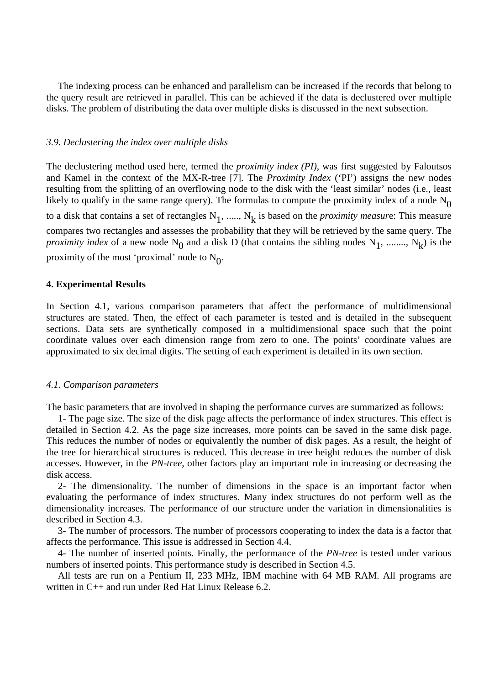The indexing process can be enhanced and parallelism can be increased if the records that belong to the query result are retrieved in parallel. This can be achieved if the data is declustered over multiple disks. The problem of distributing the data over multiple disks is discussed in the next subsection.

# *3.9. Declustering the index over multiple disks*

The declustering method used here, termed the *proximity index (PI)*, was first suggested by Faloutsos and Kamel in the context of the MX-R-tree [7]. The *Proximity Index* ('PI') assigns the new nodes resulting from the splitting of an overflowing node to the disk with the 'least similar' nodes (i.e., least likely to qualify in the same range query). The formulas to compute the proximity index of a node  $N_0$ to a disk that contains a set of rectangles  $N_1$ , ....,  $N_k$  is based on the *proximity measure*: This measure compares two rectangles and assesses the probability that they will be retrieved by the same query. The *proximity index* of a new node  $N_0$  and a disk D (that contains the sibling nodes  $N_1$ , .......,  $N_k$ ) is the proximity of the most 'proximal' node to  $N_0$ .

### **4. Experimental Results**

In Section 4.1, various comparison parameters that affect the performance of multidimensional structures are stated. Then, the effect of each parameter is tested and is detailed in the subsequent sections. Data sets are synthetically composed in a multidimensional space such that the point coordinate values over each dimension range from zero to one. The points' coordinate values are approximated to six decimal digits. The setting of each experiment is detailed in its own section.

# *4.1. Comparison parameters*

The basic parameters that are involved in shaping the performance curves are summarized as follows:

1- The page size. The size of the disk page affects the performance of index structures. This effect is detailed in Section 4.2. As the page size increases, more points can be saved in the same disk page. This reduces the number of nodes or equivalently the number of disk pages. As a result, the height of the tree for hierarchical structures is reduced. This decrease in tree height reduces the number of disk accesses. However, in the *PN-tree*, other factors play an important role in increasing or decreasing the disk access.

2- The dimensionality. The number of dimensions in the space is an important factor when evaluating the performance of index structures. Many index structures do not perform well as the dimensionality increases. The performance of our structure under the variation in dimensionalities is described in Section 4.3.

3- The number of processors. The number of processors cooperating to index the data is a factor that affects the performance. This issue is addressed in Section 4.4.

4- The number of inserted points. Finally, the performance of the *PN-tree* is tested under various numbers of inserted points. This performance study is described in Section 4.5.

All tests are run on a Pentium II, 233 MHz, IBM machine with 64 MB RAM. All programs are written in C<sub>++</sub> and run under Red Hat Linux Release 6.2.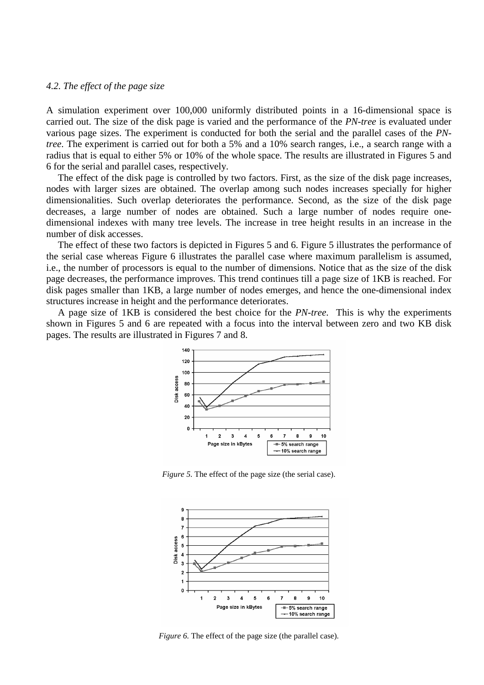# *4.2. The effect of the page size*

A simulation experiment over 100,000 uniformly distributed points in a 16-dimensional space is carried out. The size of the disk page is varied and the performance of the *PN-tree* is evaluated under various page sizes. The experiment is conducted for both the serial and the parallel cases of the *PNtree*. The experiment is carried out for both a 5% and a 10% search ranges, i.e., a search range with a radius that is equal to either 5% or 10% of the whole space. The results are illustrated in Figures 5 and 6 for the serial and parallel cases, respectively.

The effect of the disk page is controlled by two factors. First, as the size of the disk page increases, nodes with larger sizes are obtained. The overlap among such nodes increases specially for higher dimensionalities. Such overlap deteriorates the performance. Second, as the size of the disk page decreases, a large number of nodes are obtained. Such a large number of nodes require onedimensional indexes with many tree levels. The increase in tree height results in an increase in the number of disk accesses.

The effect of these two factors is depicted in Figures 5 and 6. Figure 5 illustrates the performance of the serial case whereas Figure 6 illustrates the parallel case where maximum parallelism is assumed, i.e., the number of processors is equal to the number of dimensions. Notice that as the size of the disk page decreases, the performance improves. This trend continues till a page size of 1KB is reached. For disk pages smaller than 1KB, a large number of nodes emerges, and hence the one-dimensional index structures increase in height and the performance deteriorates.

A page size of 1KB is considered the best choice for the *PN-tree*. This is why the experiments shown in Figures 5 and 6 are repeated with a focus into the interval between zero and two KB disk pages. The results are illustrated in Figures 7 and 8.



*Figure 5.* The effect of the page size (the serial case).



*Figure 6.* The effect of the page size (the parallel case).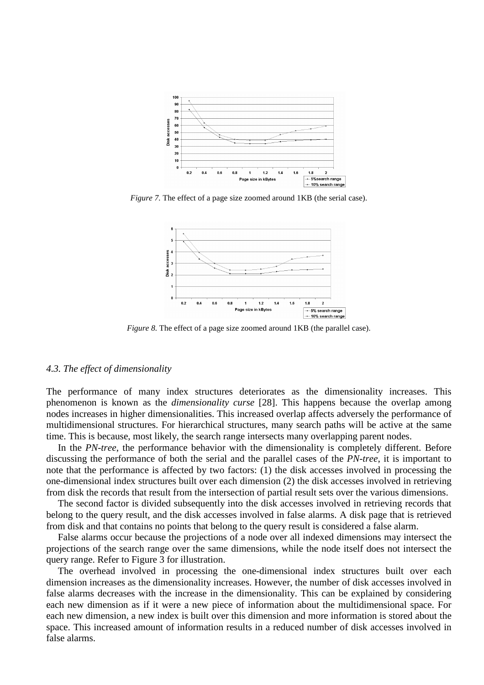

*Figure 7.* The effect of a page size zoomed around 1KB (the serial case).



*Figure 8.* The effect of a page size zoomed around 1KB (the parallel case).

### *4.3. The effect of dimensionality*

The performance of many index structures deteriorates as the dimensionality increases. This phenomenon is known as the *dimensionality curse* [28]. This happens because the overlap among nodes increases in higher dimensionalities. This increased overlap affects adversely the performance of multidimensional structures. For hierarchical structures, many search paths will be active at the same time. This is because, most likely, the search range intersects many overlapping parent nodes.

In the *PN-tree*, the performance behavior with the dimensionality is completely different. Before discussing the performance of both the serial and the parallel cases of the *PN-tree*, it is important to note that the performance is affected by two factors: (1) the disk accesses involved in processing the one-dimensional index structures built over each dimension (2) the disk accesses involved in retrieving from disk the records that result from the intersection of partial result sets over the various dimensions.

The second factor is divided subsequently into the disk accesses involved in retrieving records that belong to the query result, and the disk accesses involved in false alarms. A disk page that is retrieved from disk and that contains no points that belong to the query result is considered a false alarm.

False alarms occur because the projections of a node over all indexed dimensions may intersect the projections of the search range over the same dimensions, while the node itself does not intersect the query range. Refer to Figure 3 for illustration.

The overhead involved in processing the one-dimensional index structures built over each dimension increases as the dimensionality increases. However, the number of disk accesses involved in false alarms decreases with the increase in the dimensionality. This can be explained by considering each new dimension as if it were a new piece of information about the multidimensional space. For each new dimension, a new index is built over this dimension and more information is stored about the space. This increased amount of information results in a reduced number of disk accesses involved in false alarms.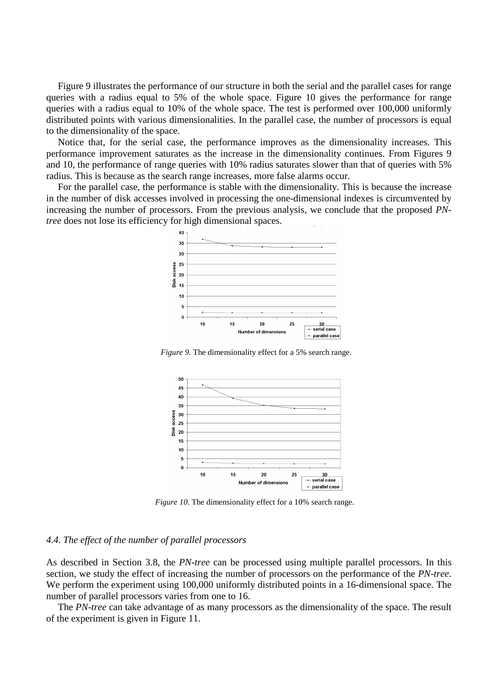Figure 9 illustrates the performance of our structure in both the serial and the parallel cases for range queries with a radius equal to 5% of the whole space. Figure 10 gives the performance for range queries with a radius equal to 10% of the whole space. The test is performed over 100,000 uniformly distributed points with various dimensionalities. In the parallel case, the number of processors is equal to the dimensionality of the space.

Notice that, for the serial case, the performance improves as the dimensionality increases. This performance improvement saturates as the increase in the dimensionality continues. From Figures 9 and 10, the performance of range queries with 10% radius saturates slower than that of queries with 5% radius. This is because as the search range increases, more false alarms occur.

For the parallel case, the performance is stable with the dimensionality. This is because the increase in the number of disk accesses involved in processing the one-dimensional indexes is circumvented by increasing the number of processors. From the previous analysis, we conclude that the proposed *PNtree* does not lose its efficiency for high dimensional spaces.



*Figure 9.* The dimensionality effect for a 5% search range.



*Figure 10.* The dimensionality effect for a 10% search range.

#### *4.4. The effect of the number of parallel processors*

As described in Section 3.8, the *PN-tree* can be processed using multiple parallel processors. In this section, we study the effect of increasing the number of processors on the performance of the *PN-tree*. We perform the experiment using 100,000 uniformly distributed points in a 16-dimensional space. The number of parallel processors varies from one to 16.

The *PN-tree* can take advantage of as many processors as the dimensionality of the space. The result of the experiment is given in Figure 11.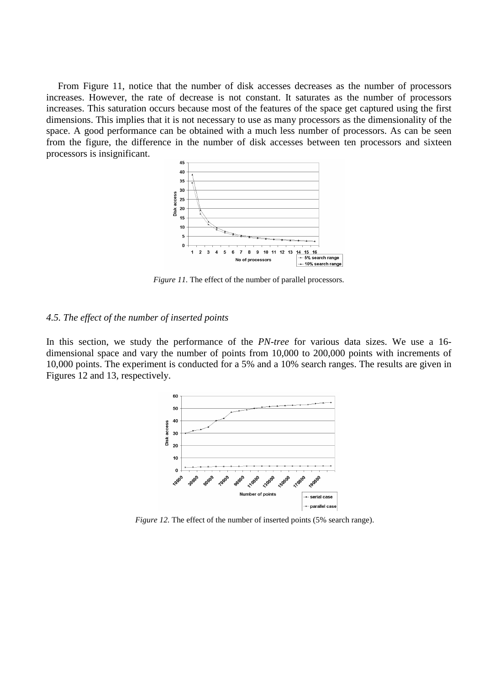From Figure 11, notice that the number of disk accesses decreases as the number of processors increases. However, the rate of decrease is not constant. It saturates as the number of processors increases. This saturation occurs because most of the features of the space get captured using the first dimensions. This implies that it is not necessary to use as many processors as the dimensionality of the space. A good performance can be obtained with a much less number of processors. As can be seen from the figure, the difference in the number of disk accesses between ten processors and sixteen processors is insignificant.



*Figure 11.* The effect of the number of parallel processors.

# *4.5. The effect of the number of inserted points*

In this section, we study the performance of the *PN-tree* for various data sizes. We use a 16 dimensional space and vary the number of points from 10,000 to 200,000 points with increments of 10,000 points. The experiment is conducted for a 5% and a 10% search ranges. The results are given in Figures 12 and 13, respectively.



*Figure 12.* The effect of the number of inserted points (5% search range).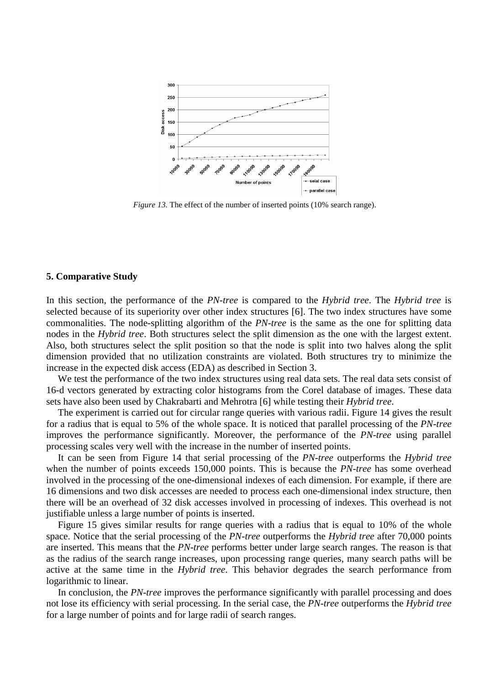

*Figure 13.* The effect of the number of inserted points (10% search range).

# **5. Comparative Study**

In this section, the performance of the *PN-tree* is compared to the *Hybrid tree*. The *Hybrid tree* is selected because of its superiority over other index structures [6]. The two index structures have some commonalities. The node-splitting algorithm of the *PN-tree* is the same as the one for splitting data nodes in the *Hybrid tree*. Both structures select the split dimension as the one with the largest extent. Also, both structures select the split position so that the node is split into two halves along the split dimension provided that no utilization constraints are violated. Both structures try to minimize the increase in the expected disk access (EDA) as described in Section 3.

We test the performance of the two index structures using real data sets. The real data sets consist of 16-d vectors generated by extracting color histograms from the Corel database of images. These data sets have also been used by Chakrabarti and Mehrotra [6] while testing their *Hybrid tree*.

The experiment is carried out for circular range queries with various radii. Figure 14 gives the result for a radius that is equal to 5% of the whole space. It is noticed that parallel processing of the *PN-tree* improves the performance significantly. Moreover, the performance of the *PN-tree* using parallel processing scales very well with the increase in the number of inserted points.

It can be seen from Figure 14 that serial processing of the *PN-tree* outperforms the *Hybrid tree* when the number of points exceeds 150,000 points. This is because the *PN-tree* has some overhead involved in the processing of the one-dimensional indexes of each dimension. For example, if there are 16 dimensions and two disk accesses are needed to process each one-dimensional index structure, then there will be an overhead of 32 disk accesses involved in processing of indexes. This overhead is not justifiable unless a large number of points is inserted.

Figure 15 gives similar results for range queries with a radius that is equal to 10% of the whole space. Notice that the serial processing of the *PN-tree* outperforms the *Hybrid tree* after 70,000 points are inserted. This means that the *PN-tree* performs better under large search ranges. The reason is that as the radius of the search range increases, upon processing range queries, many search paths will be active at the same time in the *Hybrid tree*. This behavior degrades the search performance from logarithmic to linear.

In conclusion, the *PN-tree* improves the performance significantly with parallel processing and does not lose its efficiency with serial processing. In the serial case, the *PN-tree* outperforms the *Hybrid tree* for a large number of points and for large radii of search ranges.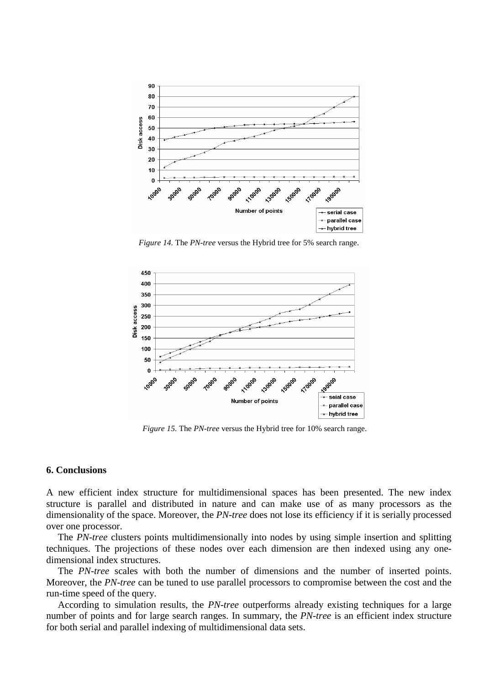

*Figure 14.* The *PN-tree* versus the Hybrid tree for 5% search range.



*Figure 15.* The *PN-tree* versus the Hybrid tree for 10% search range.

#### **6. Conclusions**

A new efficient index structure for multidimensional spaces has been presented. The new index structure is parallel and distributed in nature and can make use of as many processors as the dimensionality of the space. Moreover, the *PN-tree* does not lose its efficiency if it is serially processed over one processor.

The *PN-tree* clusters points multidimensionally into nodes by using simple insertion and splitting techniques. The projections of these nodes over each dimension are then indexed using any onedimensional index structures.

The *PN-tree* scales with both the number of dimensions and the number of inserted points. Moreover, the *PN-tree* can be tuned to use parallel processors to compromise between the cost and the run-time speed of the query.

According to simulation results, the *PN-tree* outperforms already existing techniques for a large number of points and for large search ranges. In summary, the *PN-tree* is an efficient index structure for both serial and parallel indexing of multidimensional data sets.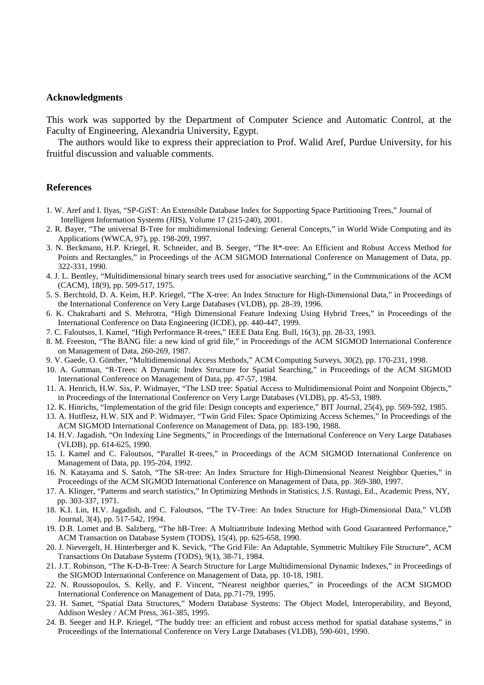#### **Acknowledgments**

This work was supported by the Department of Computer Science and Automatic Control, at the Faculty of Engineering, Alexandria University, Egypt.

The authors would like to express their appreciation to Prof. Walid Aref, Purdue University, for his fruitful discussion and valuable comments.

#### **References**

- 1. W. Aref and I. Ilyas, "SP-GiST: An Extensible Database Index for Supporting Space Partitioning Trees," Journal of Intelligent Information Systems (JIIS), Volume 17 (215-240), 2001.
- 2. R. Bayer, "The universal B-Tree for multidimensional Indexing: General Concepts," in World Wide Computing and its Applications (WWCA, 97), pp. 198-209, 1997.
- 3. N. Beckmann, H.P. Kriegel, R. Schneider, and B. Seeger, "The R\*-tree: An Efficient and Robust Access Method for Points and Rectangles," in Proceedings of the ACM SIGMOD International Conference on Management of Data, pp. 322-331, 1990.
- 4. J. L. Bentley, "Multidimensional binary search trees used for associative searching," in the Communications of the ACM (CACM), 18(9), pp. 509-517, 1975.
- 5. S. Berchtold, D. A. Keim, H.P. Kriegel, "The X-tree: An Index Structure for High-Dimensional Data," in Proceedings of the International Conference on Very Large Databases (VLDB), pp. 28-39, 1996.
- 6. K. Chakrabarti and S. Mehrotra, "High Dimensional Feature Indexing Using Hybrid Trees," in Proceedings of the International Conference on Data Engineering (ICDE), pp. 440-447, 1999.
- 7. C. Faloutsos, I. Kamel, "High Performance R-trees," IEEE Data Eng. Bull, 16(3), pp. 28-33, 1993.
- 8. M. Freeston, "The BANG file: a new kind of grid file," in Proceedings of the ACM SIGMOD International Conference on Management of Data, 260-269, 1987.
- 9. V. Gaede, O. Günther, "Multidimensional Access Methods," ACM Computing Surveys, 30(2), pp. 170-231, 1998.
- 10. A. Guttman, "R-Trees: A Dynamic Index Structure for Spatial Searching," in Proceedings of the ACM SIGMOD International Conference on Management of Data, pp. 47-57, 1984.
- 11. A. Henrich, H.W. Six, P. Widmayer, "The LSD tree: Spatial Access to Multidimensional Point and Nonpoint Objects," in Proceedings of the International Conference on Very Large Databases (VLDB), pp. 45-53, 1989.
- 12. K. Hinrichs, "Implementation of the grid file: Design concepts and experience," BIT Journal, 25(4), pp. 569-592, 1985.
- 13. A. Hutflesz, H.W. SIX and P. Widmayer, "Twin Grid Files: Space Optimizing Access Schemes," In Proceedings of the ACM SIGMOD International Conference on Management of Data, pp. 183-190, 1988.
- 14. H.V. Jagadish, "On Indexing Line Segments," in Proceedings of the International Conference on Very Large Databases (VLDB), pp. 614-625, 1990.
- 15. I. Kamel and C. Faloutsos, "Parallel R-trees," in Proceedings of the ACM SIGMOD International Conference on Management of Data, pp. 195-204, 1992.
- 16. N. Katayama and S. Satoh, "The SR-tree: An Index Structure for High-Dimensional Nearest Neighbor Queries," in Proceedings of the ACM SIGMOD International Conference on Management of Data, pp. 369-380, 1997.
- 17. A. Klinger, "Patterns and search statistics," In Optimizing Methods in Statistics, J.S. Rustagi, Ed., Academic Press, NY, pp. 303-337, 1971.
- 18. K.I. Lin, H.V. Jagadish, and C. Faloutsos, "The TV-Tree: An Index Structure for High-Dimensional Data," VLDB Journal, 3(4), pp. 517-542, 1994.
- 19. D.B. Lomet and B. Salzberg, "The hB-Tree: A Multiattribute Indexing Method with Good Guaranteed Performance," ACM Transaction on Database System (TODS), 15(4), pp. 625-658, 1990.
- 20. J. Nievergelt, H. Hinterberger and K. Sevick, "The Grid File: An Adaptable, Symmetric Multikey File Structure", ACM Transactions On Database Systems (TODS), 9(1), 38-71, 1984.
- 21. J.T. Robinson, "The K-D-B-Tree: A Search Structure for Large Multidimensional Dynamic Indexes," in Proceedings of the SIGMOD International Conference on Management of Data, pp. 10-18, 1981.
- 22. N. Roussopoulos, S. Kelly, and F. Vincent, "Nearest neighbor queries," in Proceedings of the ACM SIGMOD International Conference on Management of Data, pp.71-79, 1995.
- 23. H. Samet, "Spatial Data Structures," Modern Database Systems: The Object Model, Interoperability, and Beyond, Addison Wesley / ACM Press, 361-385, 1995.
- 24. B. Seeger and H.P. Kriegel, "The buddy tree: an efficient and robust access method for spatial database systems," in Proceedings of the International Conference on Very Large Databases (VLDB), 590-601, 1990.